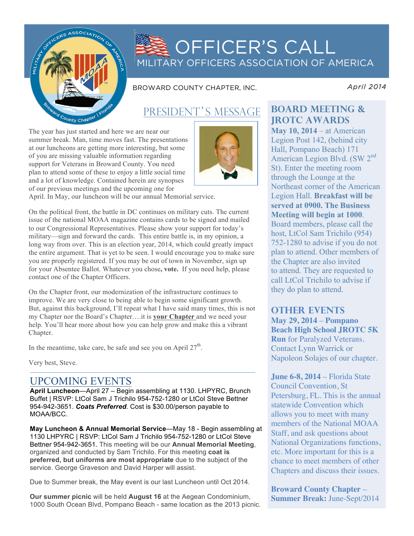

# OFFICER'S CALL MILITARY OFFICERS ASSOCIATION OF AMERICA

BROWARD COUNTY CHAPTER, INC.

*April 2014* 

## PRESIDENT'S MESSAGE

The year has just started and here we are near our summer break. Man, time moves fast. The presentations at our luncheons are getting more interesting, but some of you are missing valuable information regarding support for Veterans in Broward County. You need plan to attend some of these to enjoy a little social time and a lot of knowledge. Contained herein are synopses of our previous meetings and the upcoming one for



April. In May, our luncheon will be our annual Memorial service.

On the political front, the battle in DC continues on military cuts. The current issue of the national MOAA magazine contains cards to be signed and mailed to our Congressional Representatives. Please show your support for today's military—sign and forward the cards. This entire battle is, in my opinion, a long way from over. This is an election year, 2014, which could greatly impact the entire argument. That is yet to be seen. I would encourage you to make sure you are properly registered. If you may be out of town in November, sign up for your Absentee Ballot. Whatever you chose**, vote.** If you need help, please contact one of the Chapter Officers.

On the Chapter front, our modernization of the infrastructure continues to improve. We are very close to being able to begin some significant growth. But, against this background, I'll repeat what I have said many times, this is not my Chapter nor the Board's Chapter….it is **your Chapter** and we need your help. You'll hear more about how you can help grow and make this a vibrant Chapter.

In the meantime, take care, be safe and see you on April  $27<sup>th</sup>$ .

Very best, Steve.

### UPCOMING EVENTS

**April Luncheon**—April 27 – Begin assembling at 1130. LHPYRC, Brunch Buffet | RSVP: LtCol Sam J Trichilo 954-752-1280 or LtCol Steve Bettner 954-942-3651. *Coats Preferred*. Cost is \$30.00/person payable to MOAA/BCC.

**May Luncheon & Annual Memorial Service**—May 18 - Begin assembling at 1130 LHPYRC | RSVP: LtCol Sam J Trichilo 954-752-1280 or LtCol Steve Bettner 954-942-3651. This meeting will be our **Annual Memorial Meeting**, organized and conducted by Sam Trichilo. For this meeting **coat is preferred, but uniforms are most appropriate** due to the subject of the service. George Graveson and David Harper will assist.

Due to Summer break, the May event is our last Luncheon until Oct 2014.

**Our summer picnic** will be held **August 16** at the Aegean Condominium, 1000 South Ocean Blvd, Pompano Beach - same location as the 2013 picnic.

### **board meeting & JROTC Awards**

**May 10, 2014** – at American Legion Post 142, (behind city Hall, Pompano Beach) 171 American Legion Blvd. (SW 2nd St). Enter the meeting room through the Lounge at the Northeast corner of the American Legion Hall. **Breakfast will be served at 0900. The Business Meeting will begin at 1000**. Board members, please call the host, LtCol Sam Trichilo (954) 752-1280 to advise if you do not plan to attend. Other members of the Chapter are also invited to attend. They are requested to call LtCol Trichilo to advise if they do plan to attend.

### **other events**

**May 29, 2014** – **Pompano Beach High School JROTC 5K Run** for Paralyzed Veterans. Contact Lynn Warrick or Napoleon Solajes of our chapter.

**June 6-8, 2014** – Florida State Council Convention, St Petersburg, FL. This is the annual statewide Convention which allows you to meet with many members of the National MOAA Staff, and ask questions about National Organizations functions, etc. More important for this is a chance to meet members of other Chapters and discuss their issues.

**Broward County Chapter** – **Summer Break:** June-Sept/2014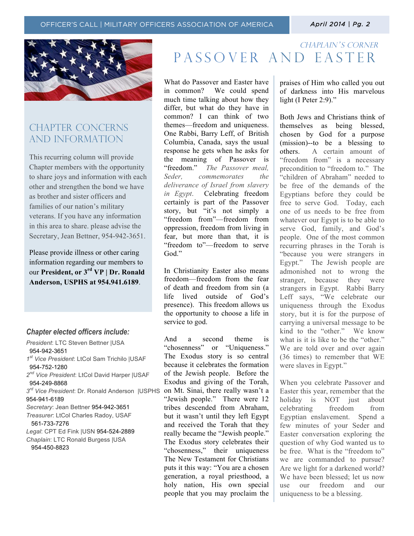

## CHAPTER CONCERNs AND INFORMATION

This recurring column will provide Chapter members with the opportunity to share joys and information with each other and strengthen the bond we have as brother and sister officers and families of our nation's military veterans. If you have any information in this area to share. please advise the Secretary, Jean Bettner, 954-942-3651.

Please provide illness or other caring information regarding our members to our **President, or 3rd VP | Dr. Ronald Anderson, USPHS at 954.941.6189**.

#### *Chapter elected officers include:*

*President*: LTC Steven Bettner |USA 954-942-3651 *1st Vice President*: LtCol Sam Trichilo |USAF 954-752-1280 *2nd Vice President*: LtCol David Harper |USAF 954-249-8868 *3rd Vice President*: Dr. Ronald Anderson |USPHS on Mt. Sinai, there really wasn't a 954-941-6189 *Secretary*: Jean Bettner 954-942-3651 *Treasurer*: LtCol Charles Radoy, USAF 561-733-7276 *Legal*: CPT Ed Fink |USN 954-524-2889 *Chaplain*: LTC Ronald Burgess |USA 954-450-8823

## CHAPLAIN'S CORNER Passover and easter

What do Passover and Easter have in common? We could spend much time talking about how they differ, but what do they have in common? I can think of two themes—freedom and uniqueness. One Rabbi, Barry Leff, of British Columbia, Canada, says the usual response he gets when he asks for the meaning of Passover is "freedom." *The Passover meal, Seder, commemorates the deliverance of Israel from slavery in Egypt*. Celebrating freedom certainly is part of the Passover story, but "it's not simply a "freedom from"—freedom from oppression, freedom from living in fear, but more than that, it is "freedom to"—freedom to serve God<sup>"</sup>

In Christianity Easter also means freedom—freedom from the fear of death and freedom from sin (a life lived outside of God's presence). This freedom allows us the opportunity to choose a life in service to god.

And a second theme is "chosenness" or "Uniqueness." The Exodus story is so central because it celebrates the formation of the Jewish people. Before the Exodus and giving of the Torah, "Jewish people." There were 12 tribes descended from Abraham, but it wasn't until they left Egypt and received the Torah that they really became the "Jewish people." The Exodus story celebrates their "chosenness," their uniqueness The New Testament for Christians puts it this way: "You are a chosen generation, a royal priesthood, a holy nation, His own special people that you may proclaim the praises of Him who called you out of darkness into His marvelous light (I Peter 2:9)."

Both Jews and Christians think of themselves as being blessed, chosen by God for a purpose (mission)--to be a blessing to others. A certain amount of "freedom from" is a necessary precondition to "freedom to." The "children of Abraham" needed to be free of the demands of the Egyptians before they could be free to serve God. Today, each one of us needs to be free from whatever our Egypt is to be able to serve God, family, and God's people. One of the most common recurring phrases in the Torah is "because you were strangers in Egypt." The Jewish people are admonished not to wrong the stranger, because they were strangers in Egypt. Rabbi Barry Leff says, "We celebrate our uniqueness through the Exodus story, but it is for the purpose of carrying a universal message to be kind to the "other." We know what is it is like to be the "other." We are told over and over again (36 times) to remember that WE were slaves in Egypt."

When you celebrate Passover and Easter this year, remember that the holiday is NOT just about celebrating freedom from Egyptian enslavement. Spend a few minutes of your Seder and Easter conversation exploring the question of why God wanted us to be free. What is the "freedom to" we are commanded to pursue? Are we light for a darkened world? We have been blessed; let us now use our freedom and our uniqueness to be a blessing.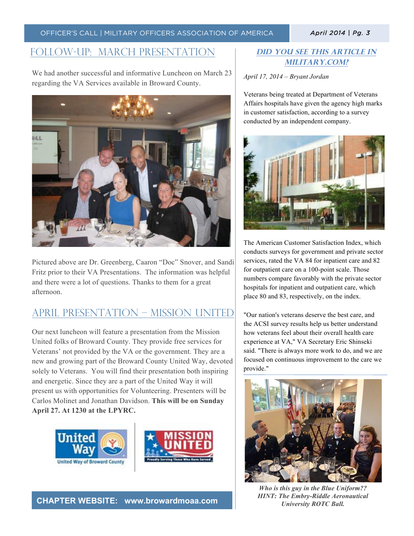## Follow-up: March Presentation

We had another successful and informative Luncheon on March 23 regarding the VA Services available in Broward County.



Pictured above are Dr. Greenberg, Caaron "Doc" Snover, and Sandi Fritz prior to their VA Presentations. The information was helpful and there were a lot of questions. Thanks to them for a great afternoon.

## April Presentation – Mission United

Our next luncheon will feature a presentation from the Mission United folks of Broward County. They provide free services for Veterans' not provided by the VA or the government. They are a new and growing part of the Broward County United Way, devoted solely to Veterans. You will find their presentation both inspiring and energetic. Since they are a part of the United Way it will present us with opportunities for Volunteering. Presenters will be Carlos Molinet and Jonathan Davidson. **This will be on Sunday April 27. At 1230 at the LPYRC.** 



**CHAPTER WEBSITE: www.browardmoaa.com**

### **Did you see this article in military.com?**

*April 17, 2014 – Bryant Jordan*

Veterans being treated at Department of Veterans Affairs hospitals have given the agency high marks in customer satisfaction, according to a survey conducted by an independent company.



The American Customer Satisfaction Index, which conducts surveys for government and private sector services, rated the VA 84 for inpatient care and 82 for outpatient care on a 100-point scale. Those numbers compare favorably with the private sector hospitals for inpatient and outpatient care, which place 80 and 83, respectively, on the index.

"Our nation's veterans deserve the best care, and the ACSI survey results help us better understand how veterans feel about their overall health care experience at VA," VA Secretary Eric Shinseki said. "There is always more work to do, and we are focused on continuous improvement to the care we provide."



*Who is this guy in the Blue Uniform?? HINT: The Embry-Riddle Aeronautical University ROTC Ball.*